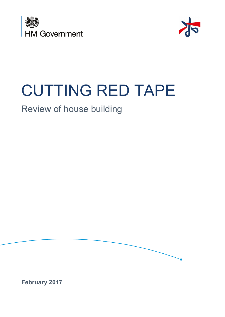



# **CUTTING RED TAPE**

## Review of house building



**February 2017**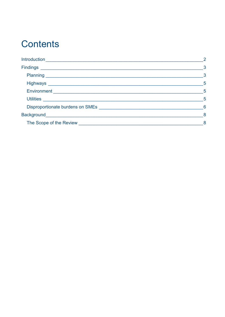## **Contents**

|                                  | $\overline{2}$           |
|----------------------------------|--------------------------|
|                                  | $\sim$ 3                 |
|                                  | $\overline{\mathbf{3}}$  |
|                                  | - 5                      |
|                                  | $-5$                     |
|                                  | $-5$                     |
| Disproportionate burdens on SMEs | $6\overline{6}$          |
|                                  | $\overline{\phantom{a}}$ |
|                                  | 8                        |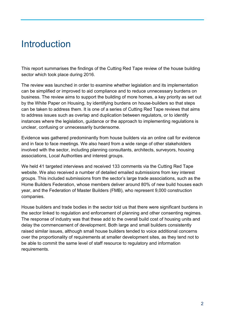### <span id="page-2-0"></span>**Introduction**

This report summarises the findings of the Cutting Red Tape review of the house building sector which took place during 2016.

The review was launched in order to examine whether legislation and its implementation can be simplified or improved to aid compliance and to reduce unnecessary burdens on business. The review aims to support the building of more homes, a key priority as set out by the White Paper on Housing, by identifying burdens on house-builders so that steps can be taken to address them. It is one of a series of Cutting Red Tape reviews that aims to address issues such as overlap and duplication between regulators, or to identify instances where the legislation, guidance or the approach to implementing regulations is unclear, confusing or unnecessarily burdensome.

Evidence was gathered predominantly from house builders via an online call for evidence and in face to face meetings. We also heard from a wide range of other stakeholders involved with the sector, including planning consultants, architects, surveyors, housing associations, Local Authorities and interest groups.

We held 41 targeted interviews and received 133 comments via the Cutting Red Tape website. We also received a number of detailed emailed submissions from key interest groups. This included submissions from the sector's large trade associations, such as the Home Builders Federation, whose members deliver around 80% of new build houses each year, and the Federation of Master Builders (FMB), who represent 9,000 construction companies.

House builders and trade bodies in the sector told us that there were significant burdens in the sector linked to regulation and enforcement of planning and other consenting regimes. The response of industry was that these add to the overall build cost of housing units and delay the commencement of development. Both large and small builders consistently raised similar issues, although small house builders tended to voice additional concerns over the proportionality of requirements at smaller development sites, as they tend not to be able to commit the same level of staff resource to regulatory and information requirements.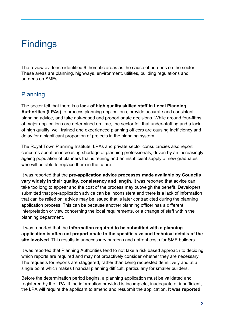## <span id="page-3-0"></span>Findings

The review evidence identified 6 thematic areas as the cause of burdens on the sector. These areas are planning, highways, environment, utilities, building regulations and burdens on SMEs.

#### <span id="page-3-1"></span>Planning

The sector felt that there is a **lack of high quality skilled staff in Local Planning Authorities (LPAs)** to process planning applications, provide accurate and consistent planning advice, and take risk-based and proportionate decisions. While around four-fifths of major applications are determined on time, the sector felt that under-staffing and a lack of high quality, well trained and experienced planning officers are causing inefficiency and delay for a significant proportion of projects in the planning system.

The Royal Town Planning Institute, LPAs and private sector consultancies also report concerns about an increasing shortage of planning professionals, driven by an increasingly ageing population of planners that is retiring and an insufficient supply of new graduates who will be able to replace them in the future.

It was reported that the **pre-application advice processes made available by Councils vary widely in their quality, consistency and length**. It was reported that advice can take too long to appear and the cost of the process may outweigh the benefit. Developers submitted that pre-application advice can be inconsistent and there is a lack of information that can be relied on: advice may be issued that is later contradicted during the planning application process. This can be because another planning officer has a different interpretation or view concerning the local requirements, or a change of staff within the planning department.

It was reported that the **information required to be submitted with a planning application is often not proportionate to the specific size and technical details of the site involved**. This results in unnecessary burdens and upfront costs for SME builders.

It was reported that Planning Authorities tend to not take a risk based approach to deciding which reports are required and may not proactively consider whether they are necessary. The requests for reports are staggered, rather than being requested definitively and at a single point which makes financial planning difficult, particularly for smaller builders.

Before the determination period begins, a planning application must be validated and registered by the LPA. If the information provided is incomplete, inadequate or insufficient, the LPA will require the applicant to amend and resubmit the application. **It was reported**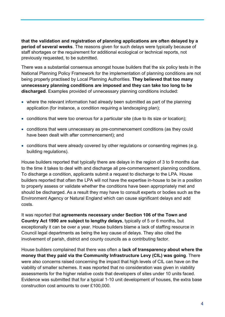**that the validation and registration of planning applications are often delayed by a period of several weeks**. The reasons given for such delays were typically because of staff shortages or the requirement for additional ecological or technical reports, not previously requested, to be submitted.

There was a substantial consensus amongst house builders that the six policy tests in the National Planning Policy Framework for the implementation of planning conditions are not being properly practised by Local Planning Authorities. **They believed that too many unnecessary planning conditions are imposed and they can take too long to be discharged**. Examples provided of unnecessary planning conditions included:

- where the relevant information had already been submitted as part of the planning application (for instance, a condition requiring a landscaping plan);
- conditions that were too onerous for a particular site (due to its size or location);
- conditions that were unnecessary as pre-commencement conditions (as they could have been dealt with after commencement); and
- conditions that were already covered by other regulations or consenting regimes (e.g. building regulations).

House builders reported that typically there are delays in the region of 3 to 9 months due to the time it takes to deal with and discharge all pre-commencement planning conditions. To discharge a condition, applicants submit a request to discharge to the LPA. House builders reported that often the LPA will not have the expertise in-house to be in a position to properly assess or validate whether the conditions have been appropriately met and should be discharged. As a result they may have to consult experts or bodies such as the Environment Agency or Natural England which can cause significant delays and add costs.

It was reported that **agreements necessary under Section 106 of the Town and Country Act 1990 are subject to lengthy delays**, typically of 5 or 6 months, but exceptionally it can be over a year. House builders blame a lack of staffing resource in Council legal departments as being the key cause of delays. They also cited the involvement of parish, district and county councils as a contributing factor.

House builders complained that there was often a **lack of transparency about where the money that they paid via the Community Infrastructure Levy (CIL) was going**. There were also concerns raised concerning the impact that high levels of CIL can have on the viability of smaller schemes. It was reported that no consideration was given in viability assessments for the higher relative costs that developers of sites under 10 units faced. Evidence was submitted that for a typical 1-10 unit development of houses, the extra base construction cost amounts to over £100,000.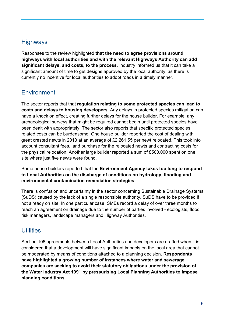#### <span id="page-5-0"></span>**Highways**

Responses to the review highlighted **that the need to agree provisions around highways with local authorities and with the relevant Highways Authority can add significant delays, and costs, to the process**. Industry informed us that it can take a significant amount of time to get designs approved by the local authority, as there is currently no incentive for local authorities to adopt roads in a timely manner.

#### <span id="page-5-1"></span>**Environment**

The sector reports that that **regulation relating to some protected species can lead to costs and delays to housing developers**. Any delays in protected species mitigation can have a knock on effect, creating further delays for the house builder. For example, any archaeological surveys that might be required cannot begin until protected species have been dealt with appropriately. The sector also reports that specific protected species related costs can be burdensome. One house builder reported the cost of dealing with great crested newts in 2013 at an average of £2,261.55 per newt relocated. This took into account consultant fees, land purchase for the relocated newts and contracting costs for the physical relocation. Another large builder reported a sum of £500,000 spent on one site where just five newts were found.

Some house builders reported that the **Environment Agency takes too long to respond to Local Authorities on the discharge of conditions on hydrology, flooding and environmental contamination remediation strategies**.

There is confusion and uncertainty in the sector concerning Sustainable Drainage Systems (SuDS) caused by the lack of a single responsible authority. SuDS have to be provided if not already on site. In one particular case, SMEs record a delay of over three months to reach an agreement on drainage due to the number of parties involved - ecologists, flood risk managers, landscape managers and Highway Authorities.

#### <span id="page-5-2"></span>**Utilities**

Section 106 agreements between Local Authorities and developers are drafted when it is considered that a development will have significant impacts on the local area that cannot be moderated by means of conditions attached to a planning decision. **Respondents have highlighted a growing number of instances where water and sewerage companies are seeking to avoid their statutory obligations under the provision of the Water Industry Act 1991 by pressurising Local Planning Authorities to impose planning conditions**.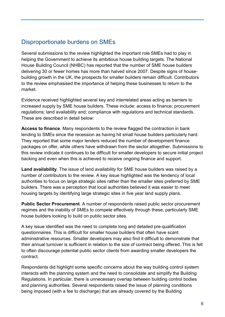#### <span id="page-6-0"></span>Disproportionate burdens on SMEs

Several submissions to the review highlighted the important role SMEs had to play in helping the Government to achieve its ambitious house building targets. The National House Building Council (NHBC) has reported that the number of SME house builders delivering 30 or fewer homes has more than halved since 2007. Despite signs of housebuilding growth in the UK, the prospects for smaller builders remain difficult. Contributors to the review emphasised the importance of helping these businesses to return to the market.

Evidence received highlighted several key and interrelated areas acting as barriers to increased supply by SME house builders. These include: access to finance; procurement regulations; land availability and; compliance with regulations and technical standards. These are described in detail below:

**Access to finance**. Many respondents to the review flagged the contraction in bank lending to SMEs since the recession as having hit small house builders particularly hard. They reported that some major lenders reduced the number of development finance packages on offer, while others have withdrawn from the sector altogether. Submissions to this review indicate it continues to be difficult for smaller developers to secure initial project backing and even when this is achieved to receive ongoing finance and support.

**Land availability**. The issue of land availability for SME house builders was raised by a number of contributors to the review. A key issue highlighted was the tendency of local authorities to focus on large strategic sites rather than the smaller sites preferred by SME builders. There was a perception that local authorities believed it was easier to meet housing targets by identifying large strategic sites in five year land supply plans.

**Public Sector Procurement**. A number of respondents raised public sector procurement regimes and the inability of SMEs to compete effectively through these, particularly SME house builders looking to build on public sector sites.

A key issue identified was the need to complete long and detailed pre-qualification questionnaires. This is difficult for smaller house builders that often have scant administrative resources. Smaller developers may also find it difficult to demonstrate that their annual turnover is sufficient in relation to the size of contract being offered. This is felt to often discourage potential public sector clients from awarding smaller developers the contract.

Respondents did highlight some specific concerns about the way building control system interacts with the planning system and the need to consolidate and simplify the Building Regulations. In particular, there is unnecessary overlap between building control bodies and planning authorities. Several respondents raised the issue of planning conditions being imposed (with a fee to discharge) that are already covered by the Building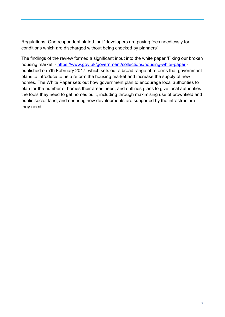Regulations. One respondent stated that "developers are paying fees needlessly for conditions which are discharged without being checked by planners".

The findings of the review formed a significant input into the white paper 'Fixing our broken housing market' -<https://www.gov.uk/government/collections/housing-white-paper> published on 7th February 2017, which sets out a broad range of reforms that government plans to introduce to help reform the housing market and increase the supply of new homes. The White Paper sets out how government plan to encourage local authorities to plan for the number of homes their areas need; and outlines plans to give local authorities the tools they need to get homes built, including through maximising use of brownfield and public sector land, and ensuring new developments are supported by the infrastructure they need.